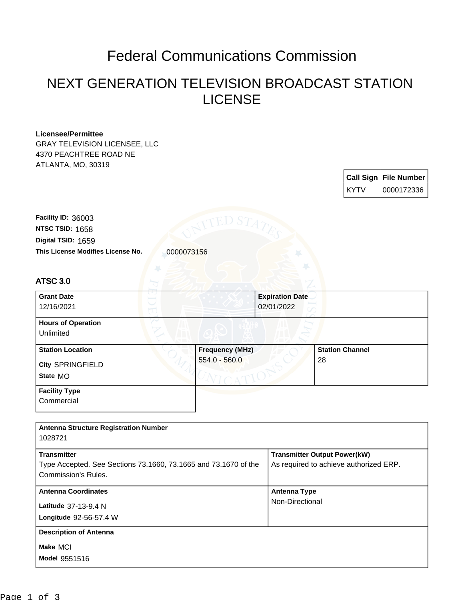## Federal Communications Commission

## NEXT GENERATION TELEVISION BROADCAST STATION LICENSE

## **Licensee/Permittee**

GRAY TELEVISION LICENSEE, LLC 4370 PEACHTREE ROAD NE ATLANTA, MO, 30319

|      | <b>Call Sign File Number</b> |
|------|------------------------------|
| KYTV | 0000172336                   |

This License Modifies License No. **0000073156 Digital TSID:** 1659 **NTSC TSID:** 1658 **Facility ID:** 36003

## ATSC 3.0

| <b>Grant Date</b>         | <b>Expiration Date</b> |                        |
|---------------------------|------------------------|------------------------|
| 12/16/2021                | 02/01/2022             |                        |
| <b>Hours of Operation</b> |                        |                        |
| Unlimited                 |                        |                        |
| <b>Station Location</b>   | <b>Frequency (MHz)</b> | <b>Station Channel</b> |
| <b>City SPRINGFIELD</b>   | $554.0 - 560.0$        | 28                     |
| State MO                  |                        |                        |
| <b>Facility Type</b>      |                        |                        |
| Commercial                |                        |                        |

| <b>Antenna Structure Registration Number</b><br>1028721                                                      |                                                                               |
|--------------------------------------------------------------------------------------------------------------|-------------------------------------------------------------------------------|
| <b>Transmitter</b><br>Type Accepted. See Sections 73.1660, 73.1665 and 73.1670 of the<br>Commission's Rules. | <b>Transmitter Output Power(kW)</b><br>As required to achieve authorized ERP. |
| <b>Antenna Coordinates</b><br>Latitude 37-13-9.4 N<br>Longitude 92-56-57.4 W                                 | <b>Antenna Type</b><br>Non-Directional                                        |
| <b>Description of Antenna</b><br>Make MCI<br><b>Model 9551516</b>                                            |                                                                               |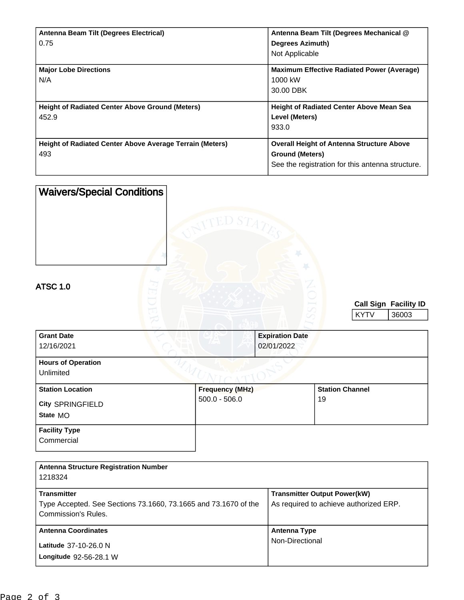| Antenna Beam Tilt (Degrees Electrical)                          | Antenna Beam Tilt (Degrees Mechanical @           |
|-----------------------------------------------------------------|---------------------------------------------------|
| 0.75                                                            | Degrees Azimuth)                                  |
|                                                                 | Not Applicable                                    |
| <b>Major Lobe Directions</b>                                    | <b>Maximum Effective Radiated Power (Average)</b> |
| N/A                                                             | 1000 kW                                           |
|                                                                 | 30.00 DBK                                         |
|                                                                 |                                                   |
| <b>Height of Radiated Center Above Ground (Meters)</b>          | <b>Height of Radiated Center Above Mean Sea</b>   |
| 452.9                                                           | Level (Meters)                                    |
|                                                                 | 933.0                                             |
| <b>Height of Radiated Center Above Average Terrain (Meters)</b> | <b>Overall Height of Antenna Structure Above</b>  |
| 493                                                             | <b>Ground (Meters)</b>                            |
|                                                                 | See the registration for this antenna structure.  |

| <b>Waivers/Special Conditions</b><br><b>ATSC 1.0</b>    | red S $T_A$                               |                                      |                              |             |                              |
|---------------------------------------------------------|-------------------------------------------|--------------------------------------|------------------------------|-------------|------------------------------|
|                                                         |                                           |                                      |                              |             | <b>Call Sign Facility ID</b> |
|                                                         |                                           |                                      |                              | <b>KYTV</b> | 36003                        |
| <b>Grant Date</b><br>12/16/2021                         |                                           | <b>Expiration Date</b><br>02/01/2022 |                              |             |                              |
| <b>Hours of Operation</b><br>Unlimited                  |                                           |                                      |                              |             |                              |
| <b>Station Location</b><br>City SPRINGFIELD<br>State MO | <b>Frequency (MHz)</b><br>$500.0 - 506.0$ |                                      | <b>Station Channel</b><br>19 |             |                              |
| <b>Facility Type</b><br>Commercial                      |                                           |                                      |                              |             |                              |

| <b>Antenna Structure Registration Number</b><br>1218324         |                                        |
|-----------------------------------------------------------------|----------------------------------------|
| <b>Transmitter</b>                                              | <b>Transmitter Output Power(kW)</b>    |
| Type Accepted. See Sections 73.1660, 73.1665 and 73.1670 of the | As required to achieve authorized ERP. |
| Commission's Rules.                                             |                                        |
| <b>Antenna Coordinates</b>                                      | Antenna Type                           |
| Latitude 37-10-26.0 N                                           | Non-Directional                        |
| Longitude 92-56-28.1 W                                          |                                        |